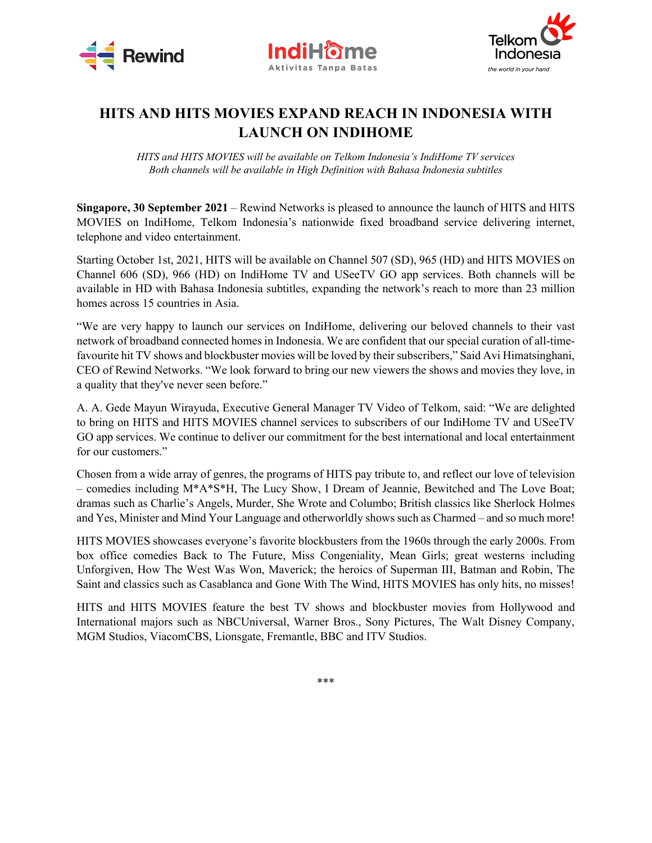





## **HITS AND HITS MOVIES EXPAND REACH IN INDONESIA WITH LAUNCH ON INDIHOME**

*HITS and HITS MOVIES will be available on Telkom Indonesia's IndiHome TV services Both channels will be available in High Definition with Bahasa Indonesia subtitles*

**Singapore, 30 September 2021** – Rewind Networks is pleased to announce the launch of HITS and HITS MOVIES on IndiHome, Telkom Indonesia's nationwide fixed broadband service delivering internet, telephone and video entertainment.

Starting October 1st, 2021, HITS will be available on Channel 507 (SD), 965 (HD) and HITS MOVIES on Channel 606 (SD), 966 (HD) on IndiHome TV and USeeTV GO app services. Both channels will be available in HD with Bahasa Indonesia subtitles, expanding the network's reach to more than 23 million homes across 15 countries in Asia.

"We are very happy to launch our services on IndiHome, delivering our beloved channels to their vast network of broadband connected homes in Indonesia. We are confident that our special curation of all-timefavourite hit TV shows and blockbuster movies will be loved by their subscribers," Said Avi Himatsinghani, CEO of Rewind Networks. "We look forward to bring our new viewers the shows and movies they love, in a quality that they've never seen before."

A. A. Gede Mayun Wirayuda, Executive General Manager TV Video of Telkom, said: "We are delighted to bring on HITS and HITS MOVIES channel services to subscribers of our IndiHome TV and USeeTV GO app services. We continue to deliver our commitment for the best international and local entertainment for our customers."

Chosen from a wide array of genres, the programs of HITS pay tribute to, and reflect our love of television – comedies including M\*A\*S\*H, The Lucy Show, I Dream of Jeannie, Bewitched and The Love Boat; dramas such as Charlie's Angels, Murder, She Wrote and Columbo; British classics like Sherlock Holmes and Yes, Minister and Mind Your Language and otherworldly shows such as Charmed – and so much more!

HITS MOVIES showcases everyone's favorite blockbusters from the 1960s through the early 2000s. From box office comedies Back to The Future, Miss Congeniality, Mean Girls; great westerns including Unforgiven, How The West Was Won, Maverick; the heroics of Superman III, Batman and Robin, The Saint and classics such as Casablanca and Gone With The Wind, HITS MOVIES has only hits, no misses!

HITS and HITS MOVIES feature the best TV shows and blockbuster movies from Hollywood and International majors such as NBCUniversal, Warner Bros., Sony Pictures, The Walt Disney Company, MGM Studios, ViacomCBS, Lionsgate, Fremantle, BBC and ITV Studios.